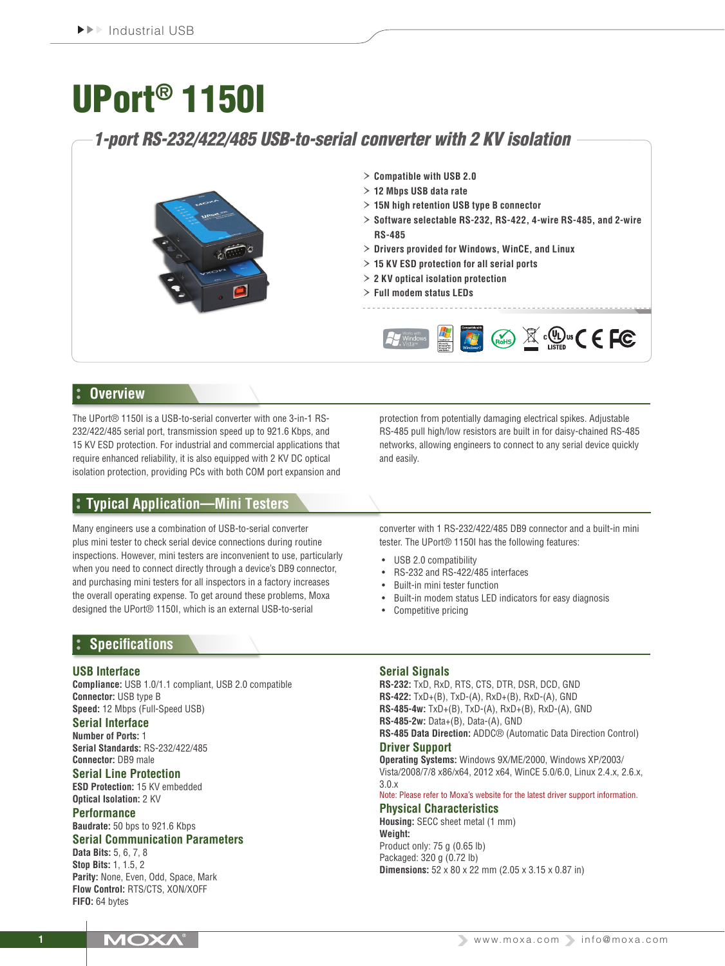# UPort® 1150I

# *1-port RS-232/422/485 USB-to-serial converter with 2 KV isolation*



- › **Compatible with USB 2.0**
- › **12 Mbps USB data rate**
- › **15N high retention USB type B connector**
- › **Software selectable RS-232, RS-422, 4-wire RS-485, and 2-wire RS-485**
- › **Drivers provided for Windows, WinCE, and Linux**
- › **15 KV ESD protection for all serial ports**
- › **2 KV optical isolation protection**
- › **Full modem status LEDs**



### **Overview**

The UPort® 1150I is a USB-to-serial converter with one 3-in-1 RS-232/422/485 serial port, transmission speed up to 921.6 Kbps, and 15 KV ESD protection. For industrial and commercial applications that require enhanced reliability, it is also equipped with 2 KV DC optical isolation protection, providing PCs with both COM port expansion and

## **Typical Application—Mini Testers**

Many engineers use a combination of USB-to-serial converter plus mini tester to check serial device connections during routine inspections. However, mini testers are inconvenient to use, particularly when you need to connect directly through a device's DB9 connector, and purchasing mini testers for all inspectors in a factory increases the overall operating expense. To get around these problems, Moxa designed the UPort® 1150I, which is an external USB-to-serial

### **Specifications**

#### **USB Interface**

**Compliance:** USB 1.0/1.1 compliant, USB 2.0 compatible **Connector:** USB type B **Speed:** 12 Mbps (Full-Speed USB)

#### **Serial Interface**

**Number of Ports:** 1 **Serial Standards:** RS-232/422/485 **Connector:** DB9 male

#### **Serial Line Protection**

**ESD Protection:** 15 KV embedded **Optical Isolation:** 2 KV

#### **Performance**

**FIFO:** 64 bytes

#### **Baudrate:** 50 bps to 921.6 Kbps **Serial Communication Parameters**

**Data Bits:** 5, 6, 7, 8 **Stop Bits:** 1, 1.5, 2 **Parity:** None, Even, Odd, Space, Mark **Flow Control:** RTS/CTS, XON/XOFF

protection from potentially damaging electrical spikes. Adjustable RS-485 pull high/low resistors are built in for daisy-chained RS-485 networks, allowing engineers to connect to any serial device quickly and easily.

converter with 1 RS-232/422/485 DB9 connector and a built-in mini tester. The UPort<sup>®</sup> 1150I has the following features:

- • USB 2.0 compatibility
- RS-232 and RS-422/485 interfaces
- Built-in mini tester function
- Built-in modem status LED indicators for easy diagnosis
- Competitive pricing

#### **Serial Signals**

**RS-232:** TxD, RxD, RTS, CTS, DTR, DSR, DCD, GND **RS-422:** TxD+(B), TxD-(A), RxD+(B), RxD-(A), GND **RS-485-4w:** TxD+(B), TxD-(A), RxD+(B), RxD-(A), GND **RS-485-2w:** Data+(B), Data-(A), GND **RS-485 Data Direction:** ADDC® (Automatic Data Direction Control)

#### **Driver Support**

**Operating Systems:** Windows 9X/ME/2000, Windows XP/2003/ Vista/2008/7/8 x86/x64, 2012 x64, WinCE 5.0/6.0, Linux 2.4.x, 2.6.x, 3.0.x

#### Note: Please refer to Moxa's website for the latest driver support information. **Physical Characteristics**

**Housing:** SECC sheet metal (1 mm) **Weight:** Product only: 75 g (0.65 lb) Packaged: 320 g (0.72 lb) **Dimensions:** 52 x 80 x 22 mm (2.05 x 3.15 x 0.87 in)